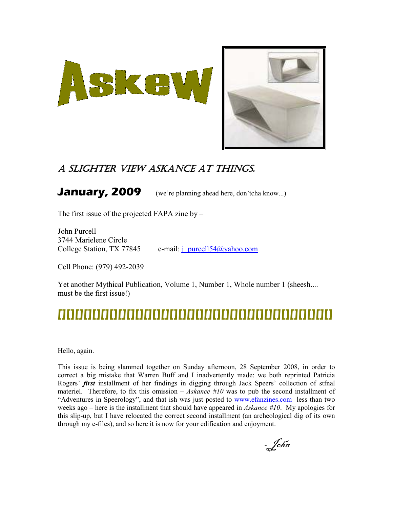

## A SLIGHTER VIEW ASKANCE AT THINGS.

**January, 2009** (we're planning ahead here, don'tcha know...)

The first issue of the projected FAPA zine by –

John Purcell 3744 Marielene Circle

College Station, TX 77845 e-mail: j\_purcell54@yahoo.com

Cell Phone: (979) 492-2039

Yet another Mythical Publication, Volume 1, Number 1, Whole number 1 (sheesh.... must be the first issue!)

# **[][][][][][][][][][][][][][][][][][][][][][][][][][][][][][][][]**

Hello, again.

This issue is being slammed together on Sunday afternoon, 28 September 2008, in order to correct a big mistake that Warren Buff and I inadvertently made: we both reprinted Patricia Rogers' *first* installment of her findings in digging through Jack Speers' collection of stfnal materiel. Therefore, to fix this omission – Askance  $#10$  was to pub the second installment of "Adventures in Speerology", and that ish was just posted to www.efanzines.com less than two weeks ago – here is the installment that should have appeared in Askance  $#10$ . My apologies for this slip-up, but I have relocated the correct second installment (an archeological dig of its own through my e-files), and so here it is now for your edification and enjoyment.

- John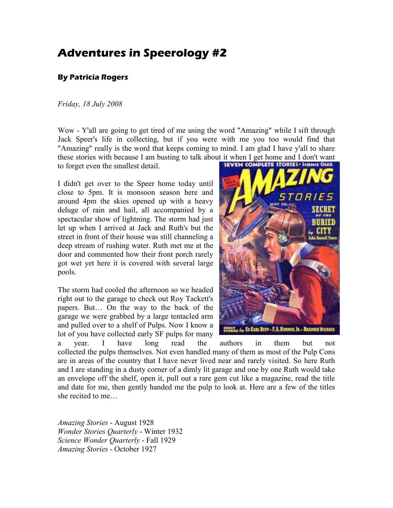# **Adventures in Speerology #2**

#### **By Patricia Rogers**

#### Friday, 18 July 2008

Wow - Y'all are going to get tired of me using the word "Amazing" while I sift through Jack Speer's life in collecting, but if you were with me you too would find that "Amazing" really is the word that keeps coming to mind. I am glad I have y'all to share these stories with because I am busting to talk about it when I get home and I don't want

to forget even the smallest detail.

I didn't get over to the Speer home today until close to 5pm. It is monsoon season here and around 4pm the skies opened up with a heavy deluge of rain and hail, all accompanied by a spectacular show of lightning. The storm had just let up when I arrived at Jack and Ruth's but the street in front of their house was still channeling a deep stream of rushing water. Ruth met me at the door and commented how their front porch rarely got wet yet here it is covered with several large pools.

The storm had cooled the afternoon so we headed right out to the garage to check out Roy Tackett's papers. But… On the way to the back of the garage we were grabbed by a large tentacled arm and pulled over to a shelf of Pulps. Now I know a lot of you have collected early SF pulps for many



a year. I have long read the authors in them but not collected the pulps themselves. Not even handled many of them as most of the Pulp Cons are in areas of the country that I have never lived near and rarely visited. So here Ruth and I are standing in a dusty corner of a dimly lit garage and one by one Ruth would take an envelope off the shelf, open it, pull out a rare gem cut like a magazine, read the title and date for me, then gently handed me the pulp to look at. Here are a few of the titles she recited to me…

Amazing Stories - August 1928 Wonder Stories Quarterly - Winter 1932 Science Wonder Quarterly - Fall 1929 Amazing Stories - October 1927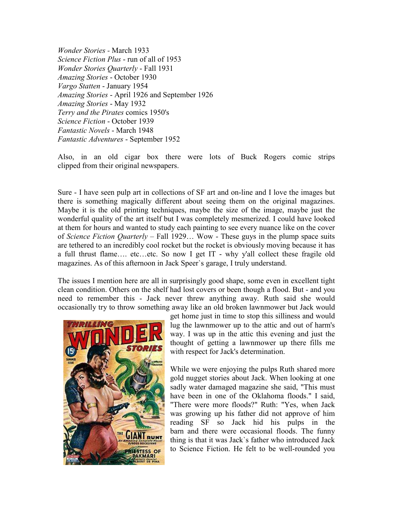Wonder Stories - March 1933 Science Fiction Plus - run of all of 1953 Wonder Stories Quarterly - Fall 1931 Amazing Stories - October 1930 Vargo Statten - January 1954 Amazing Stories - April 1926 and September 1926 Amazing Stories - May 1932 Terry and the Pirates comics 1950's Science Fiction - October 1939 Fantastic Novels - March 1948 Fantastic Adventures - September 1952

Also, in an old cigar box there were lots of Buck Rogers comic strips clipped from their original newspapers.

Sure - I have seen pulp art in collections of SF art and on-line and I love the images but there is something magically different about seeing them on the original magazines. Maybe it is the old printing techniques, maybe the size of the image, maybe just the wonderful quality of the art itself but I was completely mesmerized. I could have looked at them for hours and wanted to study each painting to see every nuance like on the cover of Science Fiction Quarterly – Fall 1929... Wow - These guys in the plump space suits are tethered to an incredibly cool rocket but the rocket is obviously moving because it has a full thrust flame…. etc…etc. So now I get IT - why y'all collect these fragile old magazines. As of this afternoon in Jack Speer`s garage, I truly understand.

The issues I mention here are all in surprisingly good shape, some even in excellent tight clean condition. Others on the shelf had lost covers or been though a flood. But - and you need to remember this - Jack never threw anything away. Ruth said she would occasionally try to throw something away like an old broken lawnmower but Jack would



get home just in time to stop this silliness and would lug the lawnmower up to the attic and out of harm's way. I was up in the attic this evening and just the thought of getting a lawnmower up there fills me with respect for Jack's determination.

While we were enjoying the pulps Ruth shared more gold nugget stories about Jack. When looking at one sadly water damaged magazine she said, "This must have been in one of the Oklahoma floods." I said, "There were more floods?" Ruth: "Yes, when Jack was growing up his father did not approve of him reading SF so Jack hid his pulps in the barn and there were occasional floods. The funny thing is that it was Jack`s father who introduced Jack to Science Fiction. He felt to be well-rounded you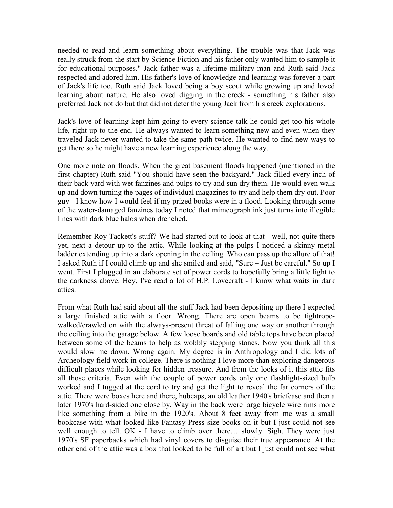needed to read and learn something about everything. The trouble was that Jack was really struck from the start by Science Fiction and his father only wanted him to sample it for educational purposes." Jack father was a lifetime military man and Ruth said Jack respected and adored him. His father's love of knowledge and learning was forever a part of Jack's life too. Ruth said Jack loved being a boy scout while growing up and loved learning about nature. He also loved digging in the creek - something his father also preferred Jack not do but that did not deter the young Jack from his creek explorations.

Jack's love of learning kept him going to every science talk he could get too his whole life, right up to the end. He always wanted to learn something new and even when they traveled Jack never wanted to take the same path twice. He wanted to find new ways to get there so he might have a new learning experience along the way.

One more note on floods. When the great basement floods happened (mentioned in the first chapter) Ruth said "You should have seen the backyard." Jack filled every inch of their back yard with wet fanzines and pulps to try and sun dry them. He would even walk up and down turning the pages of individual magazines to try and help them dry out. Poor guy - I know how I would feel if my prized books were in a flood. Looking through some of the water-damaged fanzines today I noted that mimeograph ink just turns into illegible lines with dark blue halos when drenched.

Remember Roy Tackett's stuff? We had started out to look at that - well, not quite there yet, next a detour up to the attic. While looking at the pulps I noticed a skinny metal ladder extending up into a dark opening in the ceiling. Who can pass up the allure of that! I asked Ruth if I could climb up and she smiled and said, "Sure – Just be careful." So up I went. First I plugged in an elaborate set of power cords to hopefully bring a little light to the darkness above. Hey, I've read a lot of H.P. Lovecraft - I know what waits in dark attics.

From what Ruth had said about all the stuff Jack had been depositing up there I expected a large finished attic with a floor. Wrong. There are open beams to be tightropewalked/crawled on with the always-present threat of falling one way or another through the ceiling into the garage below. A few loose boards and old table tops have been placed between some of the beams to help as wobbly stepping stones. Now you think all this would slow me down. Wrong again. My degree is in Anthropology and I did lots of Archeology field work in college. There is nothing I love more than exploring dangerous difficult places while looking for hidden treasure. And from the looks of it this attic fits all those criteria. Even with the couple of power cords only one flashlight-sized bulb worked and I tugged at the cord to try and get the light to reveal the far corners of the attic. There were boxes here and there, hubcaps, an old leather 1940's briefcase and then a later 1970's hard-sided one close by. Way in the back were large bicycle wire rims more like something from a bike in the 1920's. About 8 feet away from me was a small bookcase with what looked like Fantasy Press size books on it but I just could not see well enough to tell. OK - I have to climb over there... slowly. Sigh. They were just 1970's SF paperbacks which had vinyl covers to disguise their true appearance. At the other end of the attic was a box that looked to be full of art but I just could not see what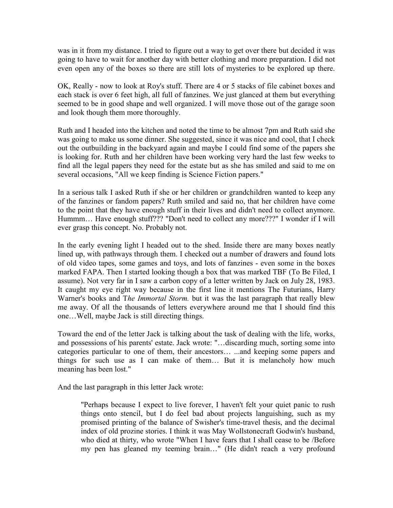was in it from my distance. I tried to figure out a way to get over there but decided it was going to have to wait for another day with better clothing and more preparation. I did not even open any of the boxes so there are still lots of mysteries to be explored up there.

OK, Really - now to look at Roy's stuff. There are 4 or 5 stacks of file cabinet boxes and each stack is over 6 feet high, all full of fanzines. We just glanced at them but everything seemed to be in good shape and well organized. I will move those out of the garage soon and look though them more thoroughly.

Ruth and I headed into the kitchen and noted the time to be almost 7pm and Ruth said she was going to make us some dinner. She suggested, since it was nice and cool, that I check out the outbuilding in the backyard again and maybe I could find some of the papers she is looking for. Ruth and her children have been working very hard the last few weeks to find all the legal papers they need for the estate but as she has smiled and said to me on several occasions, "All we keep finding is Science Fiction papers."

In a serious talk I asked Ruth if she or her children or grandchildren wanted to keep any of the fanzines or fandom papers? Ruth smiled and said no, that her children have come to the point that they have enough stuff in their lives and didn't need to collect anymore. Hummm… Have enough stuff??? "Don't need to collect any more???" I wonder if I will ever grasp this concept. No. Probably not.

In the early evening light I headed out to the shed. Inside there are many boxes neatly lined up, with pathways through them. I checked out a number of drawers and found lots of old video tapes, some games and toys, and lots of fanzines - even some in the boxes marked FAPA. Then I started looking though a box that was marked TBF (To Be Filed, I assume). Not very far in I saw a carbon copy of a letter written by Jack on July 28, 1983. It caught my eye right way because in the first line it mentions The Futurians, Harry Warner's books and The Immortal Storm, but it was the last paragraph that really blew me away. Of all the thousands of letters everywhere around me that I should find this one…Well, maybe Jack is still directing things.

Toward the end of the letter Jack is talking about the task of dealing with the life, works, and possessions of his parents' estate. Jack wrote: "…discarding much, sorting some into categories particular to one of them, their ancestors… ...and keeping some papers and things for such use as I can make of them… But it is melancholy how much meaning has been lost."

And the last paragraph in this letter Jack wrote:

"Perhaps because I expect to live forever, I haven't felt your quiet panic to rush things onto stencil, but I do feel bad about projects languishing, such as my promised printing of the balance of Swisher's time-travel thesis, and the decimal index of old prozine stories. I think it was May Wollstonecraft Godwin's husband, who died at thirty, who wrote "When I have fears that I shall cease to be /Before my pen has gleaned my teeming brain…" (He didn't reach a very profound